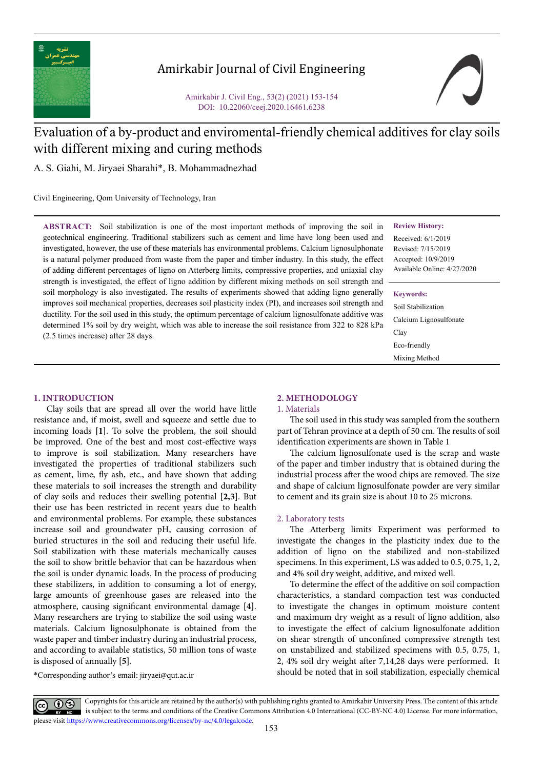

## Amirkabir Journal of Civil Engineering

Amirkabir J. Civil Eng., 53(2) (2021) 153-154 DOI: 10.22060/ceej.2020.16461.6238



# Evaluation of a by-product and enviromental-friendly chemical additives for clay soils with different mixing and curing methods

A. S. Giahi, M. Jiryaei Sharahi\*, B. Mohammadnezhad

Civil Engineering, Qom University of Technology, Iran

**ABSTRACT:** Soil stabilization is one of the most important methods of improving the soil in geotechnical engineering. Traditional stabilizers such as cement and lime have long been used and investigated, however, the use of these materials has environmental problems. Calcium lignosulphonate is a natural polymer produced from waste from the paper and timber industry. In this study, the effect of adding different percentages of ligno on Atterberg limits, compressive properties, and uniaxial clay strength is investigated, the effect of ligno addition by different mixing methods on soil strength and soil morphology is also investigated. The results of experiments showed that adding ligno generally improves soil mechanical properties, decreases soil plasticity index (PI), and increases soil strength and ductility. For the soil used in this study, the optimum percentage of calcium lignosulfonate additive was determined 1% soil by dry weight, which was able to increase the soil resistance from 322 to 828 kPa (2.5 times increase) after 28 days.

#### **Review History:**

Received: 6/1/2019 Revised: 7/15/2019 Accepted: 10/9/2019 Available Online: 4/27/2020

#### **Keywords:**

Soil Stabilization Calcium Lignosulfonate Clay Eco-friendly Mixing Method

#### **1. INTRODUCTION**

Clay soils that are spread all over the world have little resistance and, if moist, swell and squeeze and settle due to incoming loads **[1]**. To solve the problem, the soil should be improved. One of the best and most cost-effective ways to improve is soil stabilization. Many researchers have investigated the properties of traditional stabilizers such as cement, lime, fly ash, etc., and have shown that adding these materials to soil increases the strength and durability of clay soils and reduces their swelling potential **[2,3]**. But their use has been restricted in recent years due to health and environmental problems. For example, these substances increase soil and groundwater pH, causing corrosion of buried structures in the soil and reducing their useful life. Soil stabilization with these materials mechanically causes the soil to show brittle behavior that can be hazardous when the soil is under dynamic loads. In the process of producing these stabilizers, in addition to consuming a lot of energy, large amounts of greenhouse gases are released into the atmosphere, causing significant environmental damage **[4]**. Many researchers are trying to stabilize the soil using waste materials. Calcium lignosulphonate is obtained from the waste paper and timber industry during an industrial process, and according to available statistics, 50 million tons of waste is disposed of annually **[5]**.

## **2. METHODOLOGY**

#### 1. Materials

The soil used in this study was sampled from the southern part of Tehran province at a depth of 50 cm. The results of soil identification experiments are shown in Table 1

The calcium lignosulfonate used is the scrap and waste of the paper and timber industry that is obtained during the industrial process after the wood chips are removed. The size and shape of calcium lignosulfonate powder are very similar to cement and its grain size is about 10 to 25 microns.

#### 2. Laboratory tests

The Atterberg limits Experiment was performed to investigate the changes in the plasticity index due to the addition of ligno on the stabilized and non-stabilized specimens. In this experiment, LS was added to 0.5, 0.75, 1, 2, and 4% soil dry weight, additive, and mixed well.

To determine the effect of the additive on soil compaction characteristics, a standard compaction test was conducted to investigate the changes in optimum moisture content and maximum dry weight as a result of ligno addition, also to investigate the effect of calcium lignosulfonate addition on shear strength of unconfined compressive strength test on unstabilized and stabilized specimens with 0.5, 0.75, 1, 2, 4% soil dry weight after 7,14,28 days were performed. It should be noted that in soil stabilization, especially chemical

\*Corresponding author's email: jiryaei@qut.ac.ir

Copyrights for this article are retained by the author(s) with publishing rights granted to Amirkabir University Press. The content of this article is subject to the terms and conditions of the Creative Commons Attribution 4.0 International (CC-BY-NC 4.0) License. For more information, please visit https://www.creativecommons.org/licenses/by-nc/4.0/legalcode.